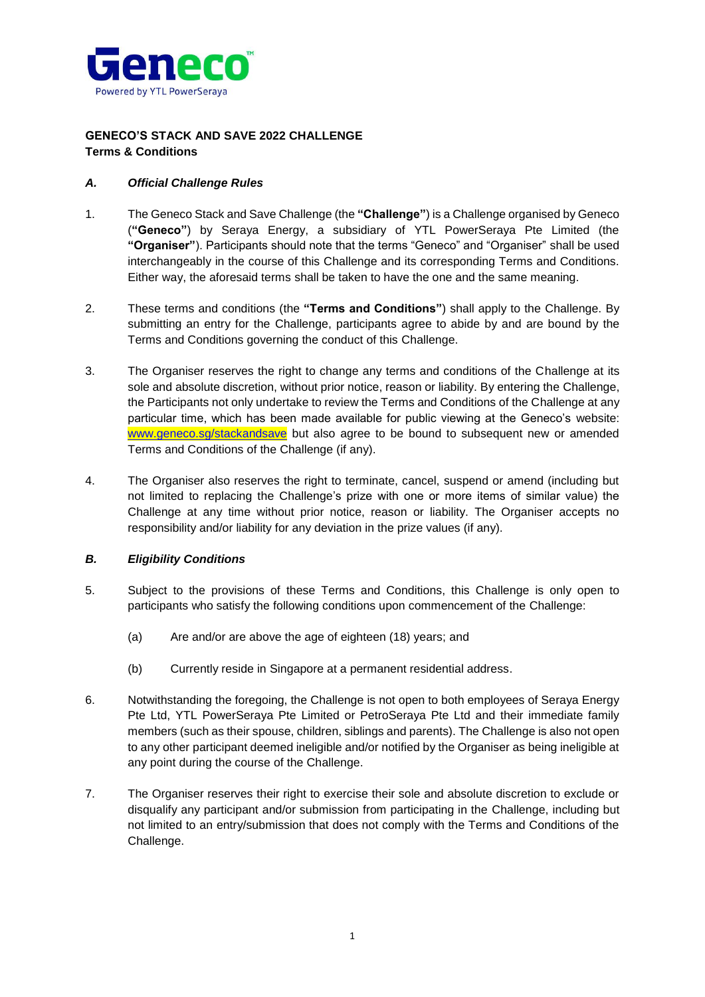

# **GENECO'S STACK AND SAVE 2022 CHALLENGE Terms & Conditions**

## *A. Official Challenge Rules*

- 1. The Geneco Stack and Save Challenge (the **"Challenge"**) is a Challenge organised by Geneco (**"Geneco"**) by Seraya Energy, a subsidiary of YTL PowerSeraya Pte Limited (the **"Organiser"**). Participants should note that the terms "Geneco" and "Organiser" shall be used interchangeably in the course of this Challenge and its corresponding Terms and Conditions. Either way, the aforesaid terms shall be taken to have the one and the same meaning.
- 2. These terms and conditions (the **"Terms and Conditions"**) shall apply to the Challenge. By submitting an entry for the Challenge, participants agree to abide by and are bound by the Terms and Conditions governing the conduct of this Challenge.
- 3. The Organiser reserves the right to change any terms and conditions of the Challenge at its sole and absolute discretion, without prior notice, reason or liability. By entering the Challenge, the Participants not only undertake to review the Terms and Conditions of the Challenge at any particular time, which has been made available for public viewing at the Geneco's website: [www.geneco.sg/stackandsave](http://www.geneco.sg/stackandsave) but also agree to be bound to subsequent new or amended Terms and Conditions of the Challenge (if any).
- 4. The Organiser also reserves the right to terminate, cancel, suspend or amend (including but not limited to replacing the Challenge's prize with one or more items of similar value) the Challenge at any time without prior notice, reason or liability. The Organiser accepts no responsibility and/or liability for any deviation in the prize values (if any).

# *B. Eligibility Conditions*

- 5. Subject to the provisions of these Terms and Conditions, this Challenge is only open to participants who satisfy the following conditions upon commencement of the Challenge:
	- (a) Are and/or are above the age of eighteen (18) years; and
	- (b) Currently reside in Singapore at a permanent residential address.
- 6. Notwithstanding the foregoing, the Challenge is not open to both employees of Seraya Energy Pte Ltd, YTL PowerSeraya Pte Limited or PetroSeraya Pte Ltd and their immediate family members (such as their spouse, children, siblings and parents). The Challenge is also not open to any other participant deemed ineligible and/or notified by the Organiser as being ineligible at any point during the course of the Challenge.
- 7. The Organiser reserves their right to exercise their sole and absolute discretion to exclude or disqualify any participant and/or submission from participating in the Challenge, including but not limited to an entry/submission that does not comply with the Terms and Conditions of the Challenge.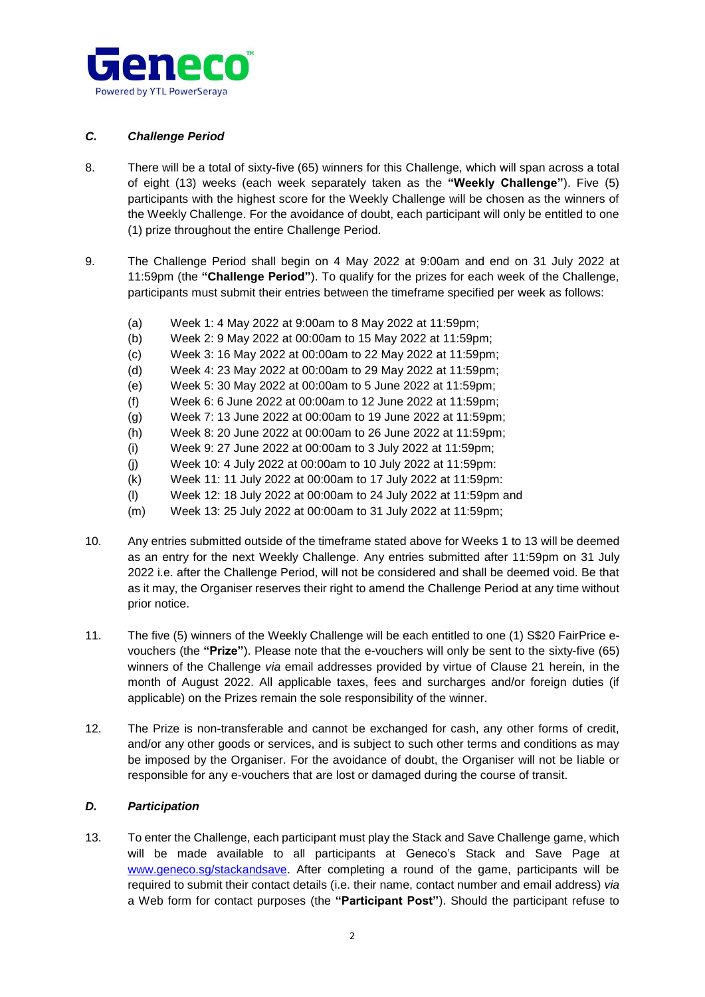

# *C. Challenge Period*

- 8. There will be a total of sixty-five (65) winners for this Challenge, which will span across a total of eight (13) weeks (each week separately taken as the **"Weekly Challenge"**). Five (5) participants with the highest score for the Weekly Challenge will be chosen as the winners of the Weekly Challenge. For the avoidance of doubt, each participant will only be entitled to one (1) prize throughout the entire Challenge Period.
- 9. The Challenge Period shall begin on 4 May 2022 at 9:00am and end on 31 July 2022 at 11:59pm (the **"Challenge Period"**). To qualify for the prizes for each week of the Challenge, participants must submit their entries between the timeframe specified per week as follows:
	- (a) Week 1: 4 May 2022 at 9:00am to 8 May 2022 at 11:59pm;
	- (b) Week 2: 9 May 2022 at 00:00am to 15 May 2022 at 11:59pm;
	- (c) Week 3: 16 May 2022 at 00:00am to 22 May 2022 at 11:59pm;
	- (d) Week 4: 23 May 2022 at 00:00am to 29 May 2022 at 11:59pm;
	- (e) Week 5: 30 May 2022 at 00:00am to 5 June 2022 at 11:59pm;
	- (f) Week 6: 6 June 2022 at 00:00am to 12 June 2022 at 11:59pm;
	- (g) Week 7: 13 June 2022 at 00:00am to 19 June 2022 at 11:59pm;
	- (h) Week 8: 20 June 2022 at 00:00am to 26 June 2022 at 11:59pm;
	- (i) Week 9: 27 June 2022 at 00:00am to 3 July 2022 at 11:59pm;
	- (j) Week 10: 4 July 2022 at 00:00am to 10 July 2022 at 11:59pm:
	- (k) Week 11: 11 July 2022 at 00:00am to 17 July 2022 at 11:59pm:
	- (l) Week 12: 18 July 2022 at 00:00am to 24 July 2022 at 11:59pm and
	- (m) Week 13: 25 July 2022 at 00:00am to 31 July 2022 at 11:59pm;
- 10. Any entries submitted outside of the timeframe stated above for Weeks 1 to 13 will be deemed as an entry for the next Weekly Challenge. Any entries submitted after 11:59pm on 31 July 2022 i.e. after the Challenge Period, will not be considered and shall be deemed void. Be that as it may, the Organiser reserves their right to amend the Challenge Period at any time without prior notice.
- 11. The five (5) winners of the Weekly Challenge will be each entitled to one (1) S\$20 FairPrice evouchers (the **"Prize"**). Please note that the e-vouchers will only be sent to the sixty-five (65) winners of the Challenge *via* email addresses provided by virtue of Clause 21 herein, in the month of August 2022. All applicable taxes, fees and surcharges and/or foreign duties (if applicable) on the Prizes remain the sole responsibility of the winner.
- 12. The Prize is non-transferable and cannot be exchanged for cash, any other forms of credit, and/or any other goods or services, and is subject to such other terms and conditions as may be imposed by the Organiser. For the avoidance of doubt, the Organiser will not be liable or responsible for any e-vouchers that are lost or damaged during the course of transit.

## *D. Participation*

13. To enter the Challenge, each participant must play the Stack and Save Challenge game, which will be made available to all participants at Geneco's Stack and Save Page at [www.geneco.sg/stackandsave.](http://www.geneco.sg/stackandsave) After completing a round of the game, participants will be required to submit their contact details (i.e. their name, contact number and email address) *via*  a Web form for contact purposes (the **"Participant Post"**). Should the participant refuse to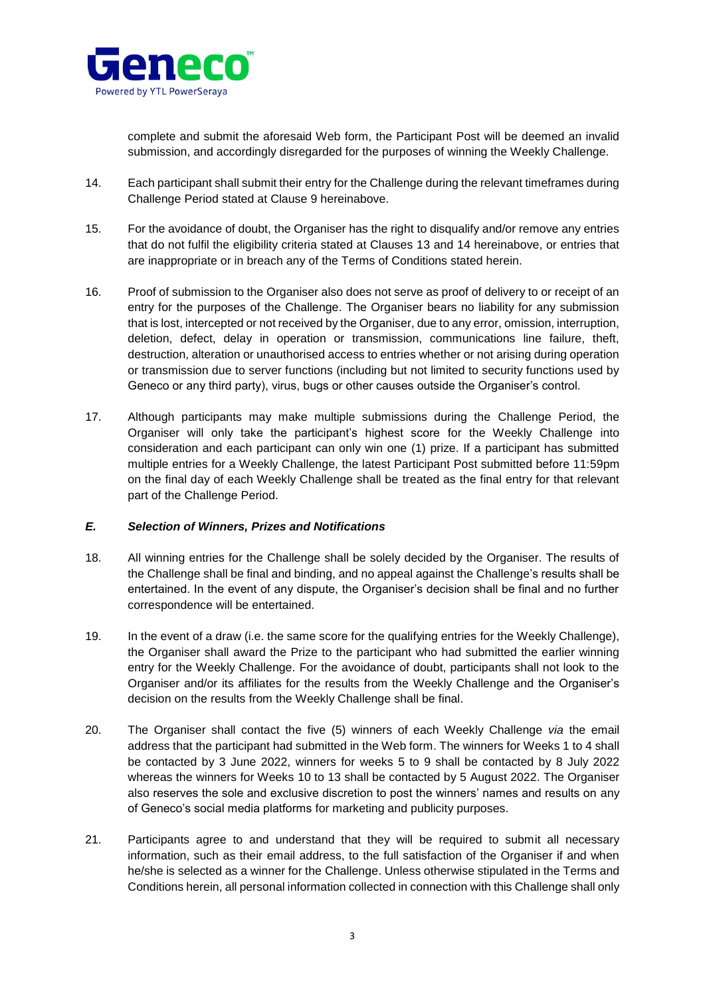

complete and submit the aforesaid Web form, the Participant Post will be deemed an invalid submission, and accordingly disregarded for the purposes of winning the Weekly Challenge.

- 14. Each participant shall submit their entry for the Challenge during the relevant timeframes during Challenge Period stated at Clause 9 hereinabove.
- 15. For the avoidance of doubt, the Organiser has the right to disqualify and/or remove any entries that do not fulfil the eligibility criteria stated at Clauses 13 and 14 hereinabove, or entries that are inappropriate or in breach any of the Terms of Conditions stated herein.
- 16. Proof of submission to the Organiser also does not serve as proof of delivery to or receipt of an entry for the purposes of the Challenge. The Organiser bears no liability for any submission that is lost, intercepted or not received by the Organiser, due to any error, omission, interruption, deletion, defect, delay in operation or transmission, communications line failure, theft, destruction, alteration or unauthorised access to entries whether or not arising during operation or transmission due to server functions (including but not limited to security functions used by Geneco or any third party), virus, bugs or other causes outside the Organiser's control.
- 17. Although participants may make multiple submissions during the Challenge Period, the Organiser will only take the participant's highest score for the Weekly Challenge into consideration and each participant can only win one (1) prize. If a participant has submitted multiple entries for a Weekly Challenge, the latest Participant Post submitted before 11:59pm on the final day of each Weekly Challenge shall be treated as the final entry for that relevant part of the Challenge Period.

## *E. Selection of Winners, Prizes and Notifications*

- 18. All winning entries for the Challenge shall be solely decided by the Organiser. The results of the Challenge shall be final and binding, and no appeal against the Challenge's results shall be entertained. In the event of any dispute, the Organiser's decision shall be final and no further correspondence will be entertained.
- 19. In the event of a draw (i.e. the same score for the qualifying entries for the Weekly Challenge), the Organiser shall award the Prize to the participant who had submitted the earlier winning entry for the Weekly Challenge. For the avoidance of doubt, participants shall not look to the Organiser and/or its affiliates for the results from the Weekly Challenge and the Organiser's decision on the results from the Weekly Challenge shall be final.
- 20. The Organiser shall contact the five (5) winners of each Weekly Challenge *via* the email address that the participant had submitted in the Web form. The winners for Weeks 1 to 4 shall be contacted by 3 June 2022, winners for weeks 5 to 9 shall be contacted by 8 July 2022 whereas the winners for Weeks 10 to 13 shall be contacted by 5 August 2022. The Organiser also reserves the sole and exclusive discretion to post the winners' names and results on any of Geneco's social media platforms for marketing and publicity purposes.
- 21. Participants agree to and understand that they will be required to submit all necessary information, such as their email address, to the full satisfaction of the Organiser if and when he/she is selected as a winner for the Challenge. Unless otherwise stipulated in the Terms and Conditions herein, all personal information collected in connection with this Challenge shall only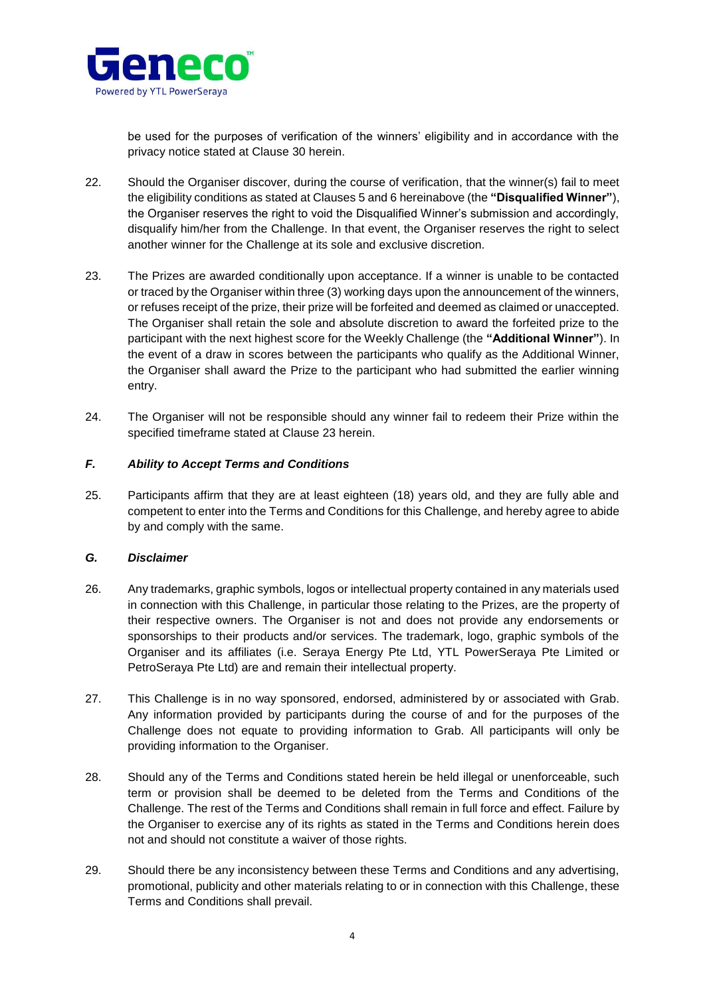

be used for the purposes of verification of the winners' eligibility and in accordance with the privacy notice stated at Clause 30 herein.

- 22. Should the Organiser discover, during the course of verification, that the winner(s) fail to meet the eligibility conditions as stated at Clauses 5 and 6 hereinabove (the **"Disqualified Winner"**), the Organiser reserves the right to void the Disqualified Winner's submission and accordingly, disqualify him/her from the Challenge. In that event, the Organiser reserves the right to select another winner for the Challenge at its sole and exclusive discretion.
- 23. The Prizes are awarded conditionally upon acceptance. If a winner is unable to be contacted or traced by the Organiser within three (3) working days upon the announcement of the winners, or refuses receipt of the prize, their prize will be forfeited and deemed as claimed or unaccepted. The Organiser shall retain the sole and absolute discretion to award the forfeited prize to the participant with the next highest score for the Weekly Challenge (the **"Additional Winner"**). In the event of a draw in scores between the participants who qualify as the Additional Winner, the Organiser shall award the Prize to the participant who had submitted the earlier winning entry.
- 24. The Organiser will not be responsible should any winner fail to redeem their Prize within the specified timeframe stated at Clause 23 herein.

#### *F. Ability to Accept Terms and Conditions*

25. Participants affirm that they are at least eighteen (18) years old, and they are fully able and competent to enter into the Terms and Conditions for this Challenge, and hereby agree to abide by and comply with the same.

## *G. Disclaimer*

- 26. Any trademarks, graphic symbols, logos or intellectual property contained in any materials used in connection with this Challenge, in particular those relating to the Prizes, are the property of their respective owners. The Organiser is not and does not provide any endorsements or sponsorships to their products and/or services. The trademark, logo, graphic symbols of the Organiser and its affiliates (i.e. Seraya Energy Pte Ltd, YTL PowerSeraya Pte Limited or PetroSeraya Pte Ltd) are and remain their intellectual property.
- 27. This Challenge is in no way sponsored, endorsed, administered by or associated with Grab. Any information provided by participants during the course of and for the purposes of the Challenge does not equate to providing information to Grab. All participants will only be providing information to the Organiser.
- 28. Should any of the Terms and Conditions stated herein be held illegal or unenforceable, such term or provision shall be deemed to be deleted from the Terms and Conditions of the Challenge. The rest of the Terms and Conditions shall remain in full force and effect. Failure by the Organiser to exercise any of its rights as stated in the Terms and Conditions herein does not and should not constitute a waiver of those rights.
- 29. Should there be any inconsistency between these Terms and Conditions and any advertising, promotional, publicity and other materials relating to or in connection with this Challenge, these Terms and Conditions shall prevail.